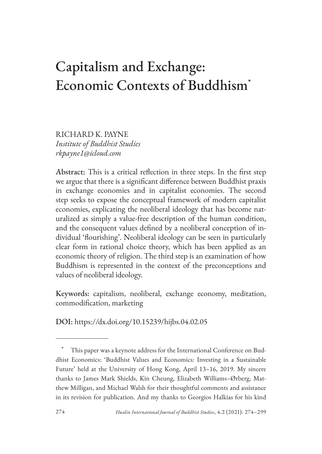# Capitalism and Exchange: Economic Contexts of Buddhism<sup>\*</sup>

RICHARD K. PAYNE *Institute of Buddhist Studies rkpayne1@icloud.com*

Abstract: This is a critical reflection in three steps. In the first step we argue that there is a significant difference between Buddhist praxis in exchange economies and in capitalist economies. The second step seeks to expose the conceptual framework of modern capitalist economies, explicating the neoliberal ideology that has become naturalized as simply a value-free description of the human condition, and the consequent values defined by a neoliberal conception of individual 'flourishing'. Neoliberal ideology can be seen in particularly clear form in rational choice theory, which has been applied as an economic theory of religion. The third step is an examination of how Buddhism is represented in the context of the preconceptions and values of neoliberal ideology.

Keywords: capitalism, neoliberal, exchange economy, meditation, commodification, marketing

DOI: https://dx.doi.org/10.15239/hijbs.04.02.05

This paper was a keynote address for the International Conference on Buddhist Economics: 'Buddhist Values and Economics: Investing in a Sustainable Future' held at the University of Hong Kong, April 13–16, 2019. My sincere thanks to James Mark Shields, Kin Cheung, Elizabeth Williams–Ørberg, Matthew Milligan, and Michael Walsh for their thoughtful comments and assistance in its revision for publication. And my thanks to Georgios Halkias for his kind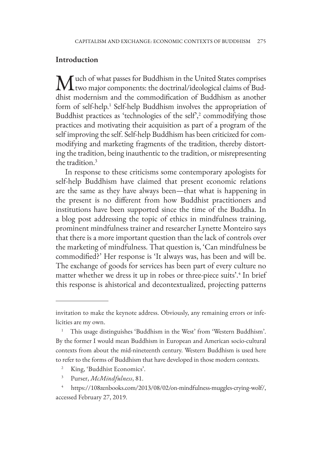#### **Introduction**

Much of what passes for Buddhism in the United States comprises<br>two major components: the doctrinal/ideological claims of Buddhist modernism and the commodification of Buddhism as another form of self-help.<sup>1</sup> Self-help Buddhism involves the appropriation of Buddhist practices as 'technologies of the self', $\alpha$ <sup>2</sup> commodifying those practices and motivating their acquisition as part of a program of the self improving the self. Self-help Buddhism has been criticized for commodifying and marketing fragments of the tradition, thereby distorting the tradition, being inauthentic to the tradition, or misrepresenting the tradition.3

In response to these criticisms some contemporary apologists for self-help Buddhism have claimed that present economic relations are the same as they have always been—that what is happening in the present is no different from how Buddhist practitioners and institutions have been supported since the time of the Buddha. In a blog post addressing the topic of ethics in mindfulness training, prominent mindfulness trainer and researcher Lynette Monteiro says that there is a more important question than the lack of controls over the marketing of mindfulness. That question is, 'Can mindfulness be commodified?' Her response is 'It always was, has been and will be. The exchange of goods for services has been part of every culture no matter whether we dress it up in robes or three-piece suits'.<sup>4</sup> In brief this response is ahistorical and decontextualized, projecting patterns

- King, 'Buddhist Economics'.
- <sup>3</sup> Purser, *McMindfulness*, 81.

invitation to make the keynote address. Obviously, any remaining errors or infelicities are my own.

<sup>1</sup> This usage distinguishes 'Buddhism in the West' from 'Western Buddhism'. By the former I would mean Buddhism in European and American socio-cultural contexts from about the mid-nineteenth century. Western Buddhism is used here to refer to the forms of Buddhism that have developed in those modern contexts.

<sup>4</sup> https://108zenbooks.com/2013/08/02/on-mindfulness-muggles-crying-wolf/, accessed February 27, 2019.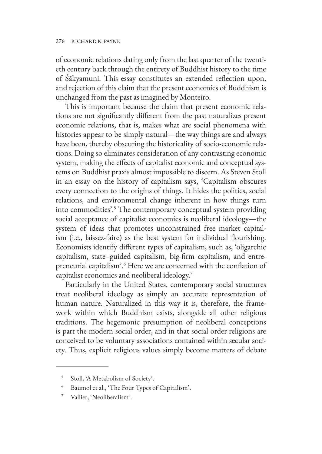of economic relations dating only from the last quarter of the twentieth century back through the entirety of Buddhist history to the time of Śākyamuni. This essay constitutes an extended reflection upon, and rejection of this claim that the present economics of Buddhism is unchanged from the past as imagined by Monteiro.

This is important because the claim that present economic relations are not significantly different from the past naturalizes present economic relations, that is, makes what are social phenomena with histories appear to be simply natural—the way things are and always have been, thereby obscuring the historicality of socio-economic relations. Doing so eliminates consideration of any contrasting economic system, making the effects of capitalist economic and conceptual systems on Buddhist praxis almost impossible to discern. As Steven Stoll in an essay on the history of capitalism says, 'Capitalism obscures every connection to the origins of things. It hides the politics, social relations, and environmental change inherent in how things turn into commodities'.5 The contemporary conceptual system providing social acceptance of capitalist economics is neoliberal ideology—the system of ideas that promotes unconstrained free market capitalism (i.e., laissez-faire) as the best system for individual flourishing. Economists identify different types of capitalism, such as, 'oligarchic capitalism, state–guided capitalism, big-firm capitalism, and entrepreneurial capitalism'.6 Here we are concerned with the conflation of capitalist economics and neoliberal ideology.7

Particularly in the United States, contemporary social structures treat neoliberal ideology as simply an accurate representation of human nature. Naturalized in this way it is, therefore, the framework within which Buddhism exists, alongside all other religious traditions. The hegemonic presumption of neoliberal conceptions is part the modern social order, and in that social order religions are conceived to be voluntary associations contained within secular society. Thus, explicit religious values simply become matters of debate

<sup>5</sup> Stoll, 'A Metabolism of Society'.

Baumol et al., 'The Four Types of Capitalism'.

Vallier, 'Neoliberalism'.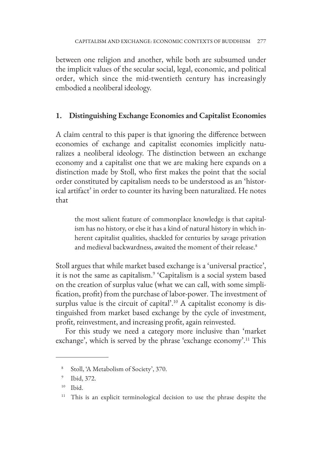between one religion and another, while both are subsumed under the implicit values of the secular social, legal, economic, and political order, which since the mid-twentieth century has increasingly embodied a neoliberal ideology.

## **1. Distinguishing Exchange Economies and Capitalist Economies**

A claim central to this paper is that ignoring the difference between economies of exchange and capitalist economies implicitly naturalizes a neoliberal ideology. The distinction between an exchange economy and a capitalist one that we are making here expands on a distinction made by Stoll, who first makes the point that the social order constituted by capitalism needs to be understood as an 'historical artifact' in order to counter its having been naturalized. He notes that

the most salient feature of commonplace knowledge is that capitalism has no history, or else it has a kind of natural history in which inherent capitalist qualities, shackled for centuries by savage privation and medieval backwardness, awaited the moment of their release.<sup>8</sup>

Stoll argues that while market based exchange is a 'universal practice', it is not the same as capitalism.<sup>9</sup> 'Capitalism is a social system based on the creation of surplus value (what we can call, with some simplification, profit) from the purchase of labor-power. The investment of surplus value is the circuit of capital'.<sup>10</sup> A capitalist economy is distinguished from market based exchange by the cycle of investment, profit, reinvestment, and increasing profit, again reinvested.

For this study we need a category more inclusive than 'market exchange', which is served by the phrase 'exchange economy'.<sup>11</sup> This

<sup>8</sup> Stoll, 'A Metabolism of Society', 370.

<sup>9</sup> Ibid, 372.

<sup>10</sup> Ibid.

<sup>&</sup>lt;sup>11</sup> This is an explicit terminological decision to use the phrase despite the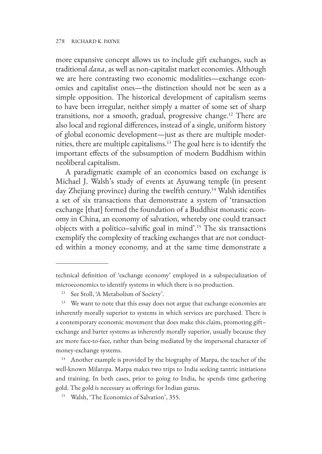more expansive concept allows us to include gift exchanges, such as traditional *dana*, as well as non-capitalist market economies. Although we are here contrasting two economic modalities—exchange economies and capitalist ones—the distinction should not be seen as a simple opposition. The historical development of capitalism seems to have been irregular, neither simply a matter of some set of sharp transitions, nor a smooth, gradual, progressive change.<sup>12</sup> There are also local and regional differences, instead of a single, uniform history of global economic development—just as there are multiple modernities, there are multiple capitalisms.13 The goal here is to identify the important effects of the subsumption of modern Buddhism within neoliberal capitalism.

A paradigmatic example of an economics based on exchange is Michael J. Walsh's study of events at Ayuwang temple (in present day Zhejiang province) during the twelfth century.<sup>14</sup> Walsh identifies a set of six transactions that demonstrate a system of 'transaction exchange [that] formed the foundation of a Buddhist monastic economy in China, an economy of salvation, whereby one could transact objects with a politico–salvific goal in mind'.15 The six transactions exemplify the complexity of tracking exchanges that are not conducted within a money economy, and at the same time demonstrate a

technical definition of 'exchange economy' employed in a subspecialization of microeconomics to identify systems in which there is no production.

<sup>&</sup>lt;sup>12</sup> See Stoll, 'A Metabolism of Society'.

<sup>&</sup>lt;sup>13</sup> We want to note that this essay does not argue that exchange economies are inherently morally superior to systems in which services are purchased. There is a contemporary economic movement that does make this claim, promoting gift– exchange and barter systems as inherently morally superior, usually because they are more face-to-face, rather than being mediated by the impersonal character of money-exchange systems.

<sup>&</sup>lt;sup>14</sup> Another example is provided by the biography of Marpa, the teacher of the well-known Milarepa. Marpa makes two trips to India seeking tantric initiations and training. In both cases, prior to going to India, he spends time gathering gold. The gold is necessary as offerings for Indian gurus.

<sup>15</sup> Walsh, 'The Economics of Salvation', 355.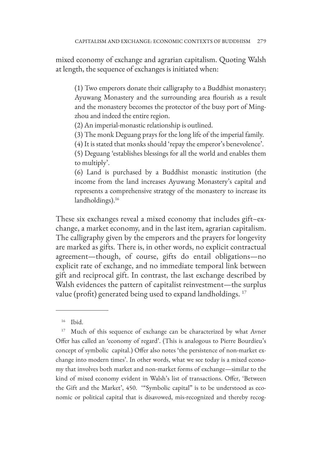mixed economy of exchange and agrarian capitalism. Quoting Walsh at length, the sequence of exchanges is initiated when:

(1) Two emperors donate their calligraphy to a Buddhist monastery; Ayuwang Monastery and the surrounding area flourish as a result and the monastery becomes the protector of the busy port of Mingzhou and indeed the entire region.

(2) An imperial-monastic relationship is outlined.

(3) The monk Deguang prays for the long life of the imperial family.

(4) It is stated that monks should 'repay the emperor's benevolence'.

(5) Deguang 'establishes blessings for all the world and enables them to multiply'.

(6) Land is purchased by a Buddhist monastic institution (the income from the land increases Ayuwang Monastery's capital and represents a comprehensive strategy of the monastery to increase its landholdings).<sup>16</sup>

These six exchanges reveal a mixed economy that includes gift–exchange, a market economy, and in the last item, agrarian capitalism. The calligraphy given by the emperors and the prayers for longevity are marked as gifts. There is, in other words, no explicit contractual agreement—though, of course, gifts do entail obligations—no explicit rate of exchange, and no immediate temporal link between gift and reciprocal gift. In contrast, the last exchange described by Walsh evidences the pattern of capitalist reinvestment—the surplus value (profit) generated being used to expand landholdings.<sup>17</sup>

<sup>16</sup> Ibid.

<sup>&</sup>lt;sup>17</sup> Much of this sequence of exchange can be characterized by what Avner Offer has called an 'economy of regard'. (This is analogous to Pierre Bourdieu's concept of symbolic capital.) Offer also notes 'the persistence of non-market exchange into modern times'. In other words, what we see today is a mixed economy that involves both market and non-market forms of exchange—similar to the kind of mixed economy evident in Walsh's list of transactions. Offer, 'Between the Gift and the Market', 450. '"Symbolic capital" is to be understood as economic or political capital that is disavowed, mis-recognized and thereby recog-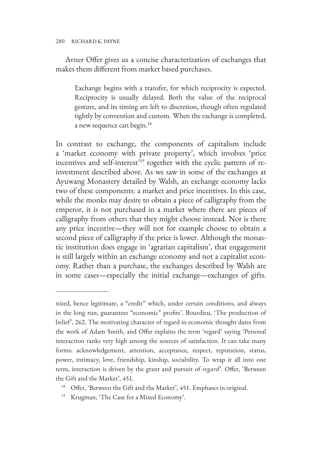Avner Offer gives us a concise characterization of exchanges that makes them different from market based purchases.

Exchange begins with a transfer, for which reciprocity is expected. Reciprocity is usually delayed. Both the value of the reciprocal gesture, and its timing are left to discretion, though often regulated tightly by convention and custom. When the exchange is completed, a new sequence can begin.<sup>18</sup>

In contrast to exchange, the components of capitalism include a 'market economy with private property', which involves 'price incentives and self-interest<sup>'19</sup> together with the cyclic pattern of reinvestment described above. As we saw in some of the exchanges at Ayuwang Monastery detailed by Walsh, an exchange economy lacks two of these components: a market and price incentives. In this case, while the monks may desire to obtain a piece of calligraphy from the emperor, it is not purchased in a market where there are pieces of calligraphy from others that they might choose instead. Nor is there any price incentive—they will not for example choose to obtain a second piece of calligraphy if the price is lower. Although the monastic institution does engage in 'agrarian capitalism', that engagement is still largely within an exchange economy and not a capitalist economy. Rather than a purchase, the exchanges described by Walsh are in some cases—especially the initial exchange—exchanges of gifts.

- Offer, 'Between the Gift and the Market', 451. Emphases in original.
- <sup>19</sup> Krugman, 'The Case for a Mixed Economy'.

nized, hence legitimate, a "credit" which, under certain conditions, and always in the long run, guarantees "economic" profits'. Bourdieu, 'The production of belief', 262. The motivating character of regard in economic thought dates from the work of Adam Smith, and Offer explains the term 'regard' saying 'Personal interaction ranks very high among the sources of satisfaction. It can take many forms: acknowledgement, attention, acceptance, respect, reputation, status, power, intimacy, love, friendship, kinship, sociability. To wrap it all into one term, interaction is driven by the grant and pursuit of *regard*'. Offer, 'Between the Gift and the Market', 451.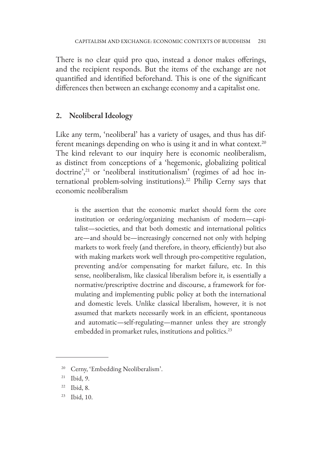There is no clear quid pro quo, instead a donor makes offerings, and the recipient responds. But the items of the exchange are not quantified and identified beforehand. This is one of the significant differences then between an exchange economy and a capitalist one.

## **2. Neoliberal Ideology**

Like any term, 'neoliberal' has a variety of usages, and thus has different meanings depending on who is using it and in what context.<sup>20</sup> The kind relevant to our inquiry here is economic neoliberalism, as distinct from conceptions of a 'hegemonic, globalizing political doctrine',<sup>21</sup> or 'neoliberal institutionalism' (regimes of ad hoc international problem-solving institutions).<sup>22</sup> Philip Cerny says that economic neoliberalism

is the assertion that the economic market should form the core institution or ordering/organizing mechanism of modern—capitalist—societies, and that both domestic and international politics are—and should be—increasingly concerned not only with helping markets to work freely (and therefore, in theory, efficiently) but also with making markets work well through pro-competitive regulation, preventing and/or compensating for market failure, etc. In this sense, neoliberalism, like classical liberalism before it, is essentially a normative/prescriptive doctrine and discourse, a framework for formulating and implementing public policy at both the international and domestic levels. Unlike classical liberalism, however, it is not assumed that markets necessarily work in an efficient, spontaneous and automatic—self-regulating—manner unless they are strongly embedded in promarket rules, institutions and politics.<sup>23</sup>

<sup>&</sup>lt;sup>20</sup> Cerny, 'Embedding Neoliberalism'.

<sup>21</sup> Ibid, 9.

<sup>22</sup> Ibid, 8.

<sup>23</sup> Ibid, 10.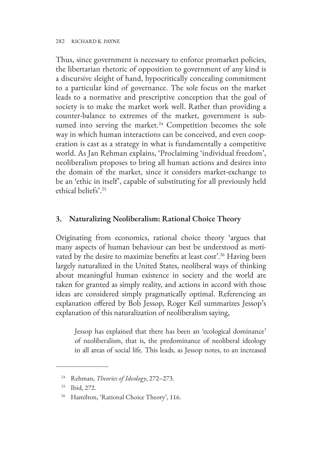Thus, since government is necessary to enforce promarket policies, the libertarian rhetoric of opposition to government of any kind is a discursive sleight of hand, hypocritically concealing commitment to a particular kind of governance. The sole focus on the market leads to a normative and prescriptive conception that the goal of society is to make the market work well. Rather than providing a counter-balance to extremes of the market, government is subsumed into serving the market.<sup>24</sup> Competition becomes the sole way in which human interactions can be conceived, and even cooperation is cast as a strategy in what is fundamentally a competitive world. As Jan Rehman explains, 'Proclaiming 'individual freedom', neoliberalism proposes to bring all human actions and desires into the domain of the market, since it considers market-exchange to be an 'ethic in itself', capable of substituting for all previously held ethical beliefs'.25

## **3. Naturalizing Neoliberalism: Rational Choice Theory**

Originating from economics, rational choice theory 'argues that many aspects of human behaviour can best be understood as motivated by the desire to maximize benefits at least cost'.<sup>26</sup> Having been largely naturalized in the United States, neoliberal ways of thinking about meaningful human existence in society and the world are taken for granted as simply reality, and actions in accord with those ideas are considered simply pragmatically optimal. Referencing an explanation offered by Bob Jessop, Roger Keil summarizes Jessop's explanation of this naturalization of neoliberalism saying,

Jessop has explained that there has been an 'ecological dominance' of neoliberalism, that is, the predominance of neoliberal ideology in all areas of social life. This leads, as Jessop notes, to an increased

<sup>24</sup> Rehman, *Theories of Ideology*, 272–273.

<sup>25</sup> Ibid, 272.

<sup>&</sup>lt;sup>26</sup> Hamilton, 'Rational Choice Theory', 116.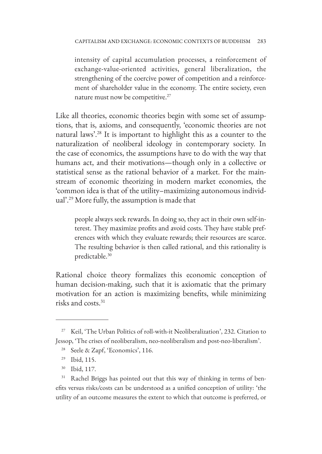intensity of capital accumulation processes, a reinforcement of exchange-value-oriented activities, general liberalization, the strengthening of the coercive power of competition and a reinforcement of shareholder value in the economy. The entire society, even nature must now be competitive.27

Like all theories, economic theories begin with some set of assumptions, that is, axioms, and consequently, 'economic theories are not natural laws'.28 It is important to highlight this as a counter to the naturalization of neoliberal ideology in contemporary society. In the case of economics, the assumptions have to do with the way that humans act, and their motivations—though only in a collective or statistical sense as the rational behavior of a market. For the mainstream of economic theorizing in modern market economies, the 'common idea is that of the utility–maximizing autonomous individual'.29 More fully, the assumption is made that

people always seek rewards. In doing so, they act in their own self-interest. They maximize profits and avoid costs. They have stable preferences with which they evaluate rewards; their resources are scarce. The resulting behavior is then called rational, and this rationality is predictable.30

Rational choice theory formalizes this economic conception of human decision-making, such that it is axiomatic that the primary motivation for an action is maximizing benefits, while minimizing risks and costs.31

<sup>30</sup> Ibid, 117.

<sup>27</sup> Keil, 'The Urban Politics of roll-with-it Neoliberalization', 232. Citation to Jessop, 'The crises of neoliberalism, neo-neoliberalism and post-neo-liberalism'.

<sup>28</sup> Seele & Zapf, 'Economics', 116.

<sup>29</sup> Ibid, 115.

Rachel Briggs has pointed out that this way of thinking in terms of benefits versus risks/costs can be understood as a unified conception of utility: 'the utility of an outcome measures the extent to which that outcome is preferred, or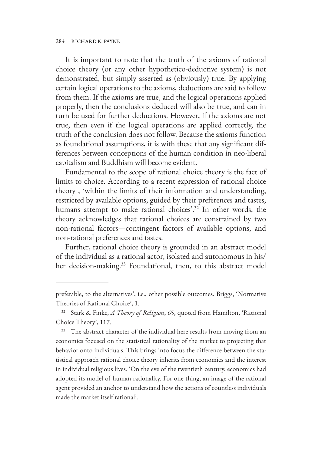It is important to note that the truth of the axioms of rational choice theory (or any other hypothetico-deductive system) is not demonstrated, but simply asserted as (obviously) true. By applying certain logical operations to the axioms, deductions are said to follow from them. If the axioms are true, and the logical operations applied properly, then the conclusions deduced will also be true, and can in turn be used for further deductions. However, if the axioms are not true, then even if the logical operations are applied correctly, the truth of the conclusion does not follow. Because the axioms function as foundational assumptions, it is with these that any significant differences between conceptions of the human condition in neo-liberal capitalism and Buddhism will become evident.

Fundamental to the scope of rational choice theory is the fact of limits to choice. According to a recent expression of rational choice theory , 'within the limits of their information and understanding, restricted by available options, guided by their preferences and tastes, humans attempt to make rational choices'.<sup>32</sup> In other words, the theory acknowledges that rational choices are constrained by two non-rational factors—contingent factors of available options, and non-rational preferences and tastes.

Further, rational choice theory is grounded in an abstract model of the individual as a rational actor, isolated and autonomous in his/ her decision-making.<sup>33</sup> Foundational, then, to this abstract model

preferable, to the alternatives', i.e., other possible outcomes. Briggs, 'Normative Theories of Rational Choice', 1.

<sup>32</sup> Stark & Finke, *A Theory of Religion*, 65, quoted from Hamilton, 'Rational Choice Theory', 117.

<sup>&</sup>lt;sup>33</sup> The abstract character of the individual here results from moving from an economics focused on the statistical rationality of the market to projecting that behavior onto individuals. This brings into focus the difference between the statistical approach rational choice theory inherits from economics and the interest in individual religious lives. 'On the eve of the twentieth century, economics had adopted its model of human rationality. For one thing, an image of the rational agent provided an anchor to understand how the actions of countless individuals made the market itself rational'.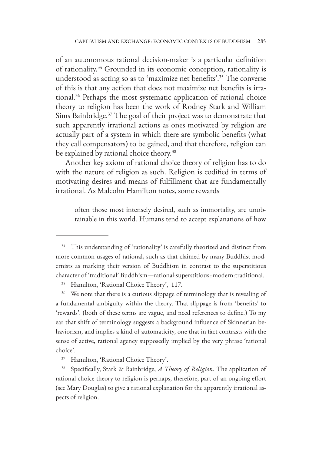of an autonomous rational decision-maker is a particular definition of rationality.34 Grounded in its economic conception, rationality is understood as acting so as to 'maximize net benefits'.35 The converse of this is that any action that does not maximize net benefits is irrational.36 Perhaps the most systematic application of rational choice theory to religion has been the work of Rodney Stark and William Sims Bainbridge.<sup>37</sup> The goal of their project was to demonstrate that such apparently irrational actions as ones motivated by religion are actually part of a system in which there are symbolic benefits (what they call compensators) to be gained, and that therefore, religion can be explained by rational choice theory.<sup>38</sup>

Another key axiom of rational choice theory of religion has to do with the nature of religion as such. Religion is codified in terms of motivating desires and means of fulfillment that are fundamentally irrational. As Malcolm Hamilton notes, some rewards

often those most intensely desired, such as immortality, are unobtainable in this world. Humans tend to accept explanations of how

<sup>&</sup>lt;sup>34</sup> This understanding of 'rationality' is carefully theorized and distinct from more common usages of rational, such as that claimed by many Buddhist modernists as marking their version of Buddhism in contrast to the superstitious character of 'traditional' Buddhism—rational:superstitious::modern:traditional.

Hamilton, 'Rational Choice Theory', 117.

<sup>&</sup>lt;sup>36</sup> We note that there is a curious slippage of terminology that is revealing of a fundamental ambiguity within the theory. That slippage is from 'benefits' to 'rewards'. (both of these terms are vague, and need references to define.) To my ear that shift of terminology suggests a background influence of Skinnerian behaviorism, and implies a kind of automaticity, one that in fact contrasts with the sense of active, rational agency supposedly implied by the very phrase 'rational choice'.

<sup>37</sup> Hamilton, 'Rational Choice Theory'.

<sup>38</sup> Specifically, Stark & Bainbridge, *A Theory of Religion*. The application of rational choice theory to religion is perhaps, therefore, part of an ongoing effort (see Mary Douglas) to give a rational explanation for the apparently irrational aspects of religion.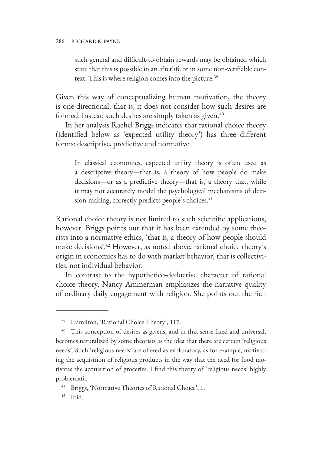such general and difficult-to-obtain rewards may be obtained which state that this is possible in an afterlife or in some non-verifiable context. This is where religion comes into the picture.<sup>39</sup>

Given this way of conceptualizing human motivation, the theory is one-directional, that is, it does not consider how such desires are formed. Instead such desires are simply taken as given.<sup>40</sup>

In her analysis Rachel Briggs indicates that rational choice theory (identified below as 'expected utility theory') has three different forms: descriptive, predictive and normative.

In classical economics, expected utility theory is often used as a descriptive theory—that is, a theory of how people do make decisions—or as a predictive theory—that is, a theory that, while it may not accurately model the psychological mechanisms of decision-making, correctly predicts people's choices.<sup>41</sup>

Rational choice theory is not limited to such scientific applications, however. Briggs points out that it has been extended by some theorists into a normative ethics, 'that is, a theory of how people should make decisions'.42 However, as noted above, rational choice theory's origin in economics has to do with market behavior, that is collectivities, not individual behavior.

In contrast to the hypothetico-deductive character of rational choice theory, Nancy Ammerman emphasizes the narrative quality of ordinary daily engagement with religion. She points out the rich

<sup>39</sup> Hamilton, 'Rational Choice Theory', 117.

This conception of desires as givens, and in that sense fixed and universal, becomes naturalized by some theorists as the idea that there are certain 'religious needs'. Such 'religious needs' are offered as explanatory, as for example, motivating the acquisition of religious products in the way that the need for food motivates the acquisition of groceries. I find this theory of 'religious needs' highly problematic.

<sup>41</sup> Briggs, 'Normative Theories of Rational Choice', 1.

<sup>42</sup> Ibid.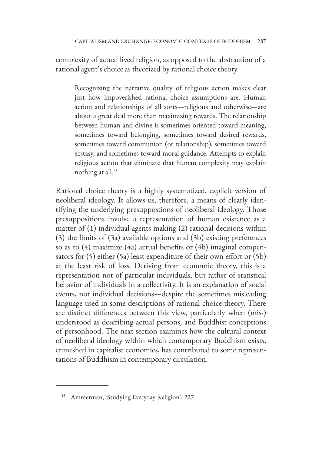complexity of actual lived religion, as opposed to the abstraction of a rational agent's choice as theorized by rational choice theory.

Recognizing the narrative quality of religious action makes clear just how impoverished rational choice assumptions are. Human action and relationships of all sorts—religious and otherwise—are about a great deal more than maximizing rewards. The relationship between human and divine is sometimes oriented toward meaning, sometimes toward belonging, sometimes toward desired rewards, sometimes toward communion (or relationship), sometimes toward ecstasy, and sometimes toward moral guidance. Attempts to explain religious action that eliminate that human complexity may explain nothing at all.<sup>43</sup>

Rational choice theory is a highly systematized, explicit version of neoliberal ideology. It allows us, therefore, a means of clearly identifying the underlying presuppostions of neoliberal ideology. Those presuppositions involve a representation of human existence as a matter of (1) individual agents making (2) rational decisions within (3) the limits of (3a) available options and (3b) existing preferences so as to (4) maximize (4a) actual benefits or (4b) imaginal compensators for (5) either (5a) least expenditure of their own effort or (5b) at the least risk of loss. Deriving from economic theory, this is a representation not of particular individuals, but rather of statistical behavior of individuals in a collectivity. It is an explanation of social events, not individual decisions—despite the sometimes misleading language used in some descriptions of rational choice theory. There are distinct differences between this view, particularly when (mis-) understood as describing actual persons, and Buddhist conceptions of personhood. The next section examines how the cultural context of neoliberal ideology within which contemporary Buddhism exists, enmeshed in capitalist economies, has contributed to some representations of Buddhism in contemporary circulation.

<sup>43</sup> Ammerman, 'Studying Everyday Religion', 227.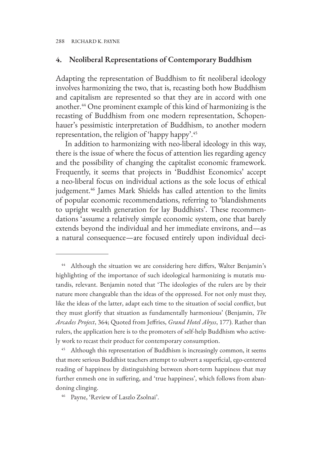## **4. Neoliberal Representations of Contemporary Buddhism**

Adapting the representation of Buddhism to fit neoliberal ideology involves harmonizing the two, that is, recasting both how Buddhism and capitalism are represented so that they are in accord with one another.44 One prominent example of this kind of harmonizing is the recasting of Buddhism from one modern representation, Schopenhauer's pessimistic interpretation of Buddhism, to another modern representation, the religion of 'happy happy'.45

In addition to harmonizing with neo-liberal ideology in this way, there is the issue of where the focus of attention lies regarding agency and the possibility of changing the capitalist economic framework. Frequently, it seems that projects in 'Buddhist Economics' accept a neo-liberal focus on individual actions as the sole locus of ethical judgement.<sup>46</sup> James Mark Shields has called attention to the limits of popular economic recommendations, referring to 'blandishments to upright wealth generation for lay Buddhists'. These recommendations 'assume a relatively simple economic system, one that barely extends beyond the individual and her immediate environs, and—as a natural consequence—are focused entirely upon individual deci-

<sup>&</sup>lt;sup>44</sup> Although the situation we are considering here differs, Walter Benjamin's highlighting of the importance of such ideological harmonizing is mutatis mutandis, relevant. Benjamin noted that 'The ideologies of the rulers are by their nature more changeable than the ideas of the oppressed. For not only must they, like the ideas of the latter, adapt each time to the situation of social conflict, but they must glorify that situation as fundamentally harmonious' (Benjamin, *The Arcades Project*, 364; Quoted from Jeffries, *Grand Hotel Abyss*, 177). Rather than rulers, the application here is to the promoters of self-help Buddhism who actively work to recast their product for contemporary consumption.

<sup>&</sup>lt;sup>45</sup> Although this representation of Buddhism is increasingly common, it seems that more serious Buddhist teachers attempt to subvert a superficial, ego-centered reading of happiness by distinguishing between short-term happiness that may further enmesh one in suffering, and 'true happiness', which follows from abandoning clinging.

<sup>46</sup> Payne, 'Review of Laszlo Zsolnai'.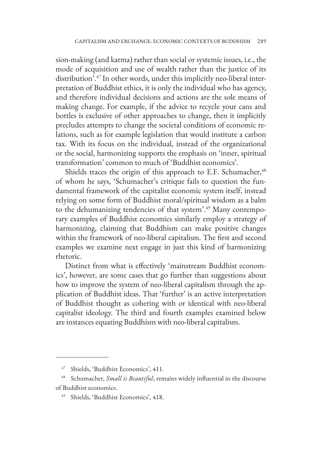sion-making (and karma) rather than social or systemic issues, i.e., the mode of acquisition and use of wealth rather than the justice of its distribution'.47 In other words, under this implicitly neo-liberal interpretation of Buddhist ethics, it is only the individual who has agency, and therefore individual decisions and actions are the sole means of making change. For example, if the advice to recycle your cans and bottles is exclusive of other approaches to change, then it implicitly precludes attempts to change the societal conditions of economic relations, such as for example legislation that would institute a carbon tax. With its focus on the individual, instead of the organizational or the social, harmonizing supports the emphasis on 'inner, spiritual transformation' common to much of 'Buddhist economics'.

Shields traces the origin of this approach to E.F. Schumacher, $48$ of whom he says, 'Schumacher's critique fails to question the fundamental framework of the capitalist economic system itself, instead relying on some form of Buddhist moral/spiritual wisdom as a balm to the dehumanizing tendencies of that system'.<sup>49</sup> Many contemporary examples of Buddhist economics similarly employ a strategy of harmonizing, claiming that Buddhism can make positive changes within the framework of neo-liberal capitalism. The first and second examples we examine next engage in just this kind of harmonizing rhetoric.

Distinct from what is effectively 'mainstream Buddhist economics', however, are some cases that go further than suggestions about how to improve the system of neo-liberal capitalism through the application of Buddhist ideas. That 'further' is an active interpretation of Buddhist thought as cohering with or identical with neo-liberal capitalist ideology. The third and fourth examples examined below are instances equating Buddhism with neo-liberal capitalism.

<sup>47</sup> Shields, 'Buddhist Economics', 411.

<sup>48</sup> Schumacher, *Small is Beautiful*, remains widely influential in the discourse of Buddhist economics.

Shields, 'Buddhist Economics', 418.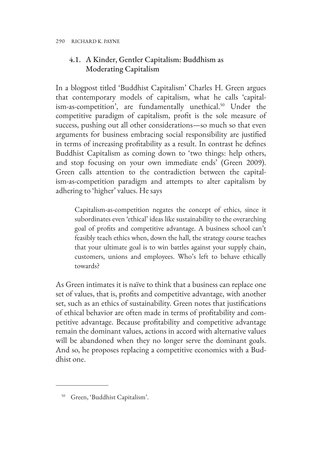# 4.1. A Kinder, Gentler Capitalism: Buddhism as Moderating Capitalism

In a blogpost titled 'Buddhist Capitalism' Charles H. Green argues that contemporary models of capitalism, what he calls 'capitalism-as-competition', are fundamentally unethical.<sup>50</sup> Under the competitive paradigm of capitalism, profit is the sole measure of success, pushing out all other considerations—so much so that even arguments for business embracing social responsibility are justified in terms of increasing profitability as a result. In contrast he defines Buddhist Capitalism as coming down to 'two things: help others, and stop focusing on your own immediate ends' (Green 2009). Green calls attention to the contradiction between the capitalism-as-competition paradigm and attempts to alter capitalism by adhering to 'higher' values. He says

Capitalism-as-competition negates the concept of ethics, since it subordinates even 'ethical' ideas like sustainability to the overarching goal of profits and competitive advantage. A business school can't feasibly teach ethics when, down the hall, the strategy course teaches that your ultimate goal is to win battles against your supply chain, customers, unions and employees. Who's left to behave ethically towards?

As Green intimates it is naïve to think that a business can replace one set of values, that is, profits and competitive advantage, with another set, such as an ethics of sustainability. Green notes that justifications of ethical behavior are often made in terms of profitability and competitive advantage. Because profitability and competitive advantage remain the dominant values, actions in accord with alternative values will be abandoned when they no longer serve the dominant goals. And so, he proposes replacing a competitive economics with a Buddhist one.

<sup>50</sup> Green, 'Buddhist Capitalism'.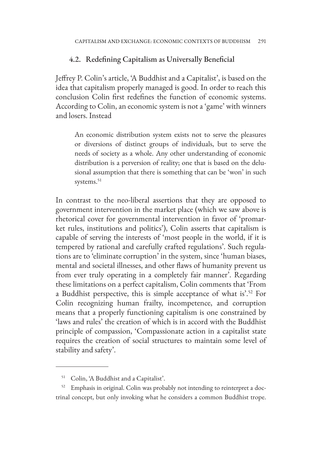## 4.2. Redefining Capitalism as Universally Beneficial

Jeffrey P. Colin's article, 'A Buddhist and a Capitalist', is based on the idea that capitalism properly managed is good. In order to reach this conclusion Colin first redefines the function of economic systems. According to Colin, an economic system is not a 'game' with winners and losers. Instead

An economic distribution system exists not to serve the pleasures or diversions of distinct groups of individuals, but to serve the needs of society as a whole. Any other understanding of economic distribution is a perversion of reality; one that is based on the delusional assumption that there is something that can be 'won' in such systems.<sup>51</sup>

In contrast to the neo-liberal assertions that they are opposed to government intervention in the market place (which we saw above is rhetorical cover for governmental intervention in favor of 'promarket rules, institutions and politics'), Colin asserts that capitalism is capable of serving the interests of 'most people in the world, if it is tempered by rational and carefully crafted regulations'. Such regulations are to 'eliminate corruption' in the system, since 'human biases, mental and societal illnesses, and other flaws of humanity prevent us from ever truly operating in a completely fair manner'. Regarding these limitations on a perfect capitalism, Colin comments that 'From a Buddhist perspective, this is simple acceptance of what is'.52 For Colin recognizing human frailty, incompetence, and corruption means that a properly functioning capitalism is one constrained by 'laws and rules' the creation of which is in accord with the Buddhist principle of compassion, 'Compassionate action in a capitalist state requires the creation of social structures to maintain some level of stability and safety'.

<sup>51</sup> Colin, 'A Buddhist and a Capitalist'.

<sup>&</sup>lt;sup>52</sup> Emphasis in original. Colin was probably not intending to reinterpret a doctrinal concept, but only invoking what he considers a common Buddhist trope.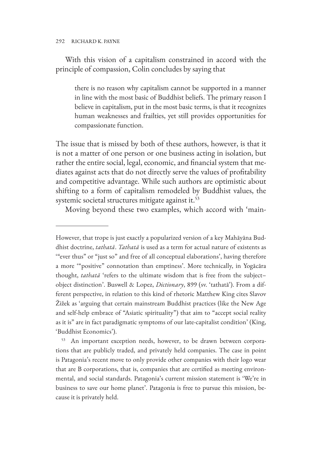With this vision of a capitalism constrained in accord with the principle of compassion, Colin concludes by saying that

there is no reason why capitalism cannot be supported in a manner in line with the most basic of Buddhist beliefs. The primary reason I believe in capitalism, put in the most basic terms, is that it recognizes human weaknesses and frailties, yet still provides opportunities for compassionate function.

The issue that is missed by both of these authors, however, is that it is not a matter of one person or one business acting in isolation, but rather the entire social, legal, economic, and financial system that mediates against acts that do not directly serve the values of profitability and competitive advantage. While such authors are optimistic about shifting to a form of capitalism remodeled by Buddhist values, the systemic societal structures mitigate against it.<sup>53</sup>

Moving beyond these two examples, which accord with 'main-

However, that trope is just exactly a popularized version of a key Mahāyāna Buddhist doctrine, *tathatā*. *Tathatā* is used as a term for actual nature of existents as '"ever thus" or "just so" and free of all conceptual elaborations', having therefore a more '"positive" connotation than emptiness'. More technically, in Yogācāra thought, *tathatā* 'refers to the ultimate wisdom that is free from the subject– object distinction'. Buswell & Lopez, *Dictionary*, 899 (sv. 'tathatā'). From a different perspective, in relation to this kind of rhetoric Matthew King cites Slavov Žižek as 'arguing that certain mainstream Buddhist practices (like the New Age and self-help embrace of "Asiatic spirituality") that aim to "accept social reality as it is" are in fact paradigmatic symptoms of our late-capitalist condition' (King, 'Buddhist Economics').

<sup>53</sup> An important exception needs, however, to be drawn between corporations that are publicly traded, and privately held companies. The case in point is Patagonia's recent move to only provide other companies with their logo wear that are B corporations, that is, companies that are certified as meeting environmental, and social standards. Patagonia's current mission statement is 'We're in business to save our home planet'. Patagonia is free to pursue this mission, because it is privately held.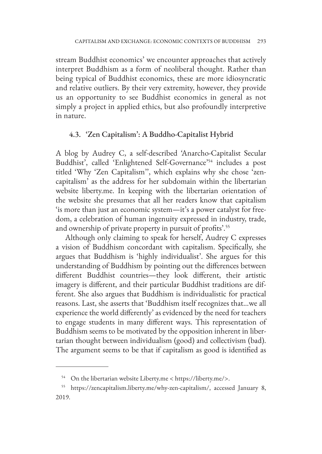stream Buddhist economics' we encounter approaches that actively interpret Buddhism as a form of neoliberal thought. Rather than being typical of Buddhist economics, these are more idiosyncratic and relative outliers. By their very extremity, however, they provide us an opportunity to see Buddhist economics in general as not simply a project in applied ethics, but also profoundly interpretive in nature.

## 4.3. 'Zen Capitalism': A Buddho-Capitalist Hybrid

A blog by Audrey C, a self-described 'Anarcho-Capitalist Secular Buddhist', called 'Enlightened Self-Governance'54 includes a post titled 'Why 'Zen Capitalism'', which explains why she chose 'zencapitalism' as the address for her subdomain within the libertarian website liberty.me. In keeping with the libertarian orientation of the website she presumes that all her readers know that capitalism 'is more than just an economic system—it's a power catalyst for freedom, a celebration of human ingenuity expressed in industry, trade, and ownership of private property in pursuit of profits'.<sup>55</sup>

Although only claiming to speak for herself, Audrey C expresses a vision of Buddhism concordant with capitalism. Specifically, she argues that Buddhism is 'highly individualist'. She argues for this understanding of Buddhism by pointing out the differences between different Buddhist countries—they look different, their artistic imagery is different, and their particular Buddhist traditions are different. She also argues that Buddhism is individualistic for practical reasons. Last, she asserts that 'Buddhism itself recognizes that…we all experience the world differently' as evidenced by the need for teachers to engage students in many different ways. This representation of Buddhism seems to be motivated by the opposition inherent in libertarian thought between individualism (good) and collectivism (bad). The argument seems to be that if capitalism as good is identified as

<sup>54</sup> On the libertarian website Liberty.me < https://liberty.me/>.

<sup>55</sup> https://zencapitalism.liberty.me/why-zen-capitalism/, accessed January 8, 2019.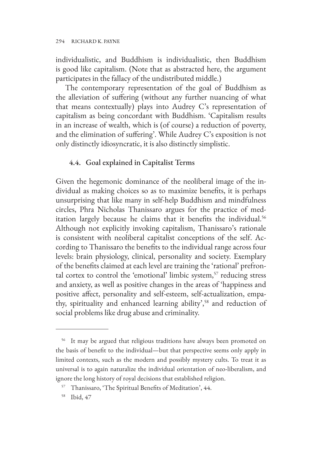individualistic, and Buddhism is individualistic, then Buddhism is good like capitalism. (Note that as abstracted here, the argument participates in the fallacy of the undistributed middle.)

The contemporary representation of the goal of Buddhism as the alleviation of suffering (without any further nuancing of what that means contextually) plays into Audrey C's representation of capitalism as being concordant with Buddhism. 'Capitalism results in an increase of wealth, which is (of course) a reduction of poverty, and the elimination of suffering'. While Audrey C's exposition is not only distinctly idiosyncratic, it is also distinctly simplistic.

### 4.4. Goal explained in Capitalist Terms

Given the hegemonic dominance of the neoliberal image of the individual as making choices so as to maximize benefits, it is perhaps unsurprising that like many in self-help Buddhism and mindfulness circles, Phra Nicholas Thanissaro argues for the practice of meditation largely because he claims that it benefits the individual.<sup>56</sup> Although not explicitly invoking capitalism, Thanissaro's rationale is consistent with neoliberal capitalist conceptions of the self. According to Thanissaro the benefits to the individual range across four levels: brain physiology, clinical, personality and society. Exemplary of the benefits claimed at each level are training the 'rational' prefrontal cortex to control the 'emotional' limbic system, $57$  reducing stress and anxiety, as well as positive changes in the areas of 'happiness and positive affect, personality and self-esteem, self-actualization, empathy, spirituality and enhanced learning ability',<sup>58</sup> and reduction of social problems like drug abuse and criminality.

<sup>&</sup>lt;sup>56</sup> It may be argued that religious traditions have always been promoted on the basis of benefit to the individual—but that perspective seems only apply in limited contexts, such as the modern and possibly mystery cults. To treat it as universal is to again naturalize the individual orientation of neo-liberalism, and ignore the long history of royal decisions that established religion.

<sup>57</sup> Thanissaro, 'The Spiritual Benefits of Meditation', 44.

<sup>58</sup> Ibid, 47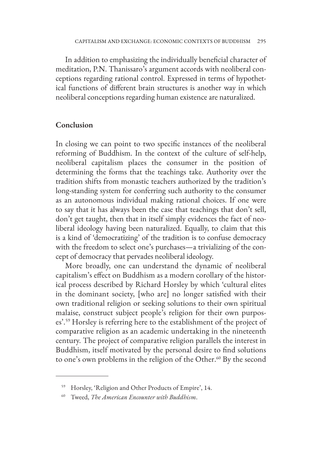In addition to emphasizing the individually beneficial character of meditation, P.N. Thanissaro's argument accords with neoliberal conceptions regarding rational control. Expressed in terms of hypothetical functions of different brain structures is another way in which neoliberal conceptions regarding human existence are naturalized.

#### **Conclusion**

In closing we can point to two specific instances of the neoliberal reforming of Buddhism. In the context of the culture of self-help, neoliberal capitalism places the consumer in the position of determining the forms that the teachings take. Authority over the tradition shifts from monastic teachers authorized by the tradition's long-standing system for conferring such authority to the consumer as an autonomous individual making rational choices. If one were to say that it has always been the case that teachings that don't sell, don't get taught, then that in itself simply evidences the fact of neoliberal ideology having been naturalized. Equally, to claim that this is a kind of 'democratizing' of the tradition is to confuse democracy with the freedom to select one's purchases—a trivializing of the concept of democracy that pervades neoliberal ideology.

More broadly, one can understand the dynamic of neoliberal capitalism's effect on Buddhism as a modern corollary of the historical process described by Richard Horsley by which 'cultural elites in the dominant society, [who are] no longer satisfied with their own traditional religion or seeking solutions to their own spiritual malaise, construct subject people's religion for their own purposes'.<sup>59</sup> Horsley is referring here to the establishment of the project of comparative religion as an academic undertaking in the nineteenth century. The project of comparative religion parallels the interest in Buddhism, itself motivated by the personal desire to find solutions to one's own problems in the religion of the Other.<sup>60</sup> By the second

<sup>59</sup> Horsley, 'Religion and Other Products of Empire', 14.

<sup>60</sup> Tweed, *The American Encounter with Buddhism*.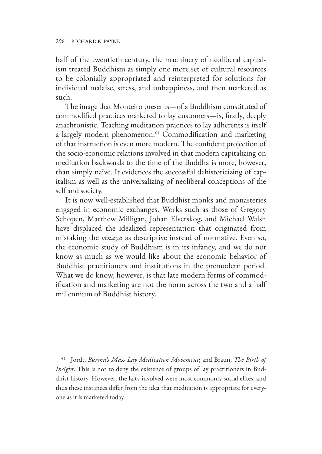half of the twentieth century, the machinery of neoliberal capitalism treated Buddhism as simply one more set of cultural resources to be colonially appropriated and reinterpreted for solutions for individual malaise, stress, and unhappiness, and then marketed as such.

The image that Monteiro presents—of a Buddhism constituted of commodified practices marketed to lay customers—is, firstly, deeply anachronistic. Teaching meditation practices to lay adherents is itself a largely modern phenomenon.<sup>61</sup> Commodification and marketing of that instruction is even more modern. The confident projection of the socio-economic relations involved in that modern capitalizing on meditation backwards to the time of the Buddha is more, however, than simply naïve. It evidences the successful dehistoricizing of capitalism as well as the universalizing of neoliberal conceptions of the self and society.

It is now well-established that Buddhist monks and monasteries engaged in economic exchanges. Works such as those of Gregory Schopen, Matthew Milligan, Johan Elverskog, and Michael Walsh have displaced the idealized representation that originated from mistaking the *vinaya* as descriptive instead of normative. Even so, the economic study of Buddhism is in its infancy, and we do not know as much as we would like about the economic behavior of Buddhist practitioners and institutions in the premodern period. What we do know, however, is that late modern forms of commodification and marketing are not the norm across the two and a half millennium of Buddhist history.

<sup>61</sup> Jordt, *Burma's Mass Lay Meditation Movement*; and Braun, *The Birth of Insight*. This is not to deny the existence of groups of lay practitioners in Buddhist history. However, the laity involved were most commonly social elites, and thus these instances differ from the idea that meditation is appropriate for everyone as it is marketed today.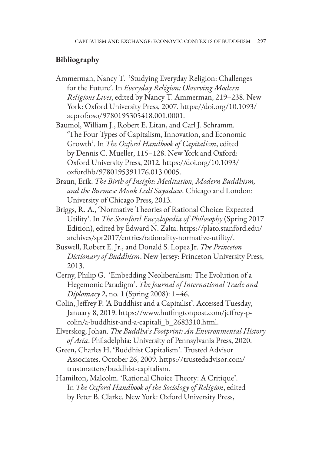## **Bibliography**

- Ammerman, Nancy T. 'Studying Everyday Religion: Challenges for the Future'. In *Everyday Religion: Observing Modern Religious Lives*, edited by Nancy T. Ammerman, 219–238. New York: Oxford University Press, 2007. https://doi.org/10.1093/ acprof:oso/9780195305418.001.0001.
- Baumol, William J., Robert E. Litan, and Carl J. Schramm. 'The Four Types of Capitalism, Innovation, and Economic Growth'. In *The Oxford Handbook of Capitalism*, edited by Dennis C. Mueller, 115–128. New York and Oxford: Oxford University Press, 2012. https://doi.org/10.1093/ oxfordhb/9780195391176.013.0005.
- Braun, Erik. *The Birth of Insight: Meditation, Modern Buddhism, and the Burmese Monk Ledi Sayadaw*. Chicago and London: University of Chicago Press, 2013.
- Briggs, R. A., 'Normative Theories of Rational Choice: Expected Utility'. In *The Stanford Encyclopedia of Philosophy* (Spring 2017 Edition), edited by Edward N. Zalta. https://plato.stanford.edu/ archives/spr2017/entries/rationality-normative-utility/.
- Buswell, Robert E. Jr., and Donald S. Lopez Jr. *The Princeton Dictionary of Buddhism*. New Jersey: Princeton University Press, 2013.
- Cerny, Philip G. 'Embedding Neoliberalism: The Evolution of a Hegemonic Paradigm'. *The Journal of International Trade and Diplomacy* 2, no. 1 (Spring 2008): 1–46.
- Colin, Jeffrey P. 'A Buddhist and a Capitalist'. Accessed Tuesday, January 8, 2019. https://www.huffingtonpost.com/jeffrey-pcolin/a-buddhist-and-a-capitali\_b\_2683310.html.
- Elverskog, Johan. *The Buddha*'*s Footprint: An Environmental History of Asia*. Philadelphia: University of Pennsylvania Press, 2020.
- Green, Charles H. 'Buddhist Capitalism'. Trusted Advisor Associates. October 26, 2009. https://trustedadvisor.com/ trustmatters/buddhist-capitalism.
- Hamilton, Malcolm. 'Rational Choice Theory: A Critique'. In *The Oxford Handbook of the Sociology of Religion*, edited by Peter B. Clarke. New York: Oxford University Press,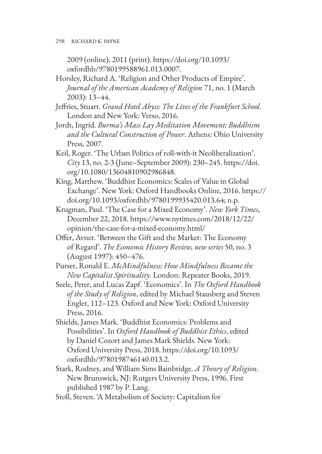2009 (online), 2011 (print). https://doi.org/10.1093/ oxfordhb/9780199588961.013.0007.

- Horsley, Richard A. 'Religion and Other Products of Empire'. *Journal of the American Academy of Religion* 71, no. 1 (March 2003): 13–44.
- Jeffries, Stuart. *Grand Hotel Abyss: The Lives of the Frankfurt School*. London and New York: Verso, 2016.
- Jordt, Ingrid. *Burma's Mass Lay Meditation Movement: Buddhism and the Cultural Construction of Power*. Athens: Ohio University Press, 2007.
- Keil, Roger. 'The Urban Politics of roll-with-it Neoliberalization'. *City* 13, no. 2-3 (June–September 2009): 230–245. https://doi. org/10.1080/13604810902986848.
- King, Matthew. 'Buddhist Economics: Scales of Value in Global Exchange'. New York: Oxford Handbooks Online, 2016. https:// doi.org/10.1093/oxfordhb/9780199935420.013.64; n.p.
- Krugman, Paul. 'The Case for a Mixed Economy'. *New York Times*, December 22, 2018. https://www.nytimes.com/2018/12/22/ opinion/the-case-for-a-mixed-economy.html/
- Offer, Avner. 'Between the Gift and the Market: The Economy of Regard'. *The Economic History Review, new series* 50, no. 3 (August 1997): 450–476.
- Purser, Ronald E. *McMindfulness: How Mindfulness Became the New Capitalist Spirituality*. London: Repeater Books, 2019.
- Seele, Peter, and Lucas Zapf. 'Economics'. In *The Oxford Handbook of the Study of Religion*, edited by Michael Stausberg and Steven Engler, 112–123. Oxford and New York: Oxford University Press, 2016.
- Shields, James Mark. 'Buddhist Economics: Problems and Possibilities'. In *Oxford Handbook of Buddhist Ethics*, edited by Daniel Cozort and James Mark Shields. New York: Oxford University Press, 2018. https://doi.org/10.1093/ oxfordhb/9780198746140.013.2.
- Stark, Rodney, and William Sims Bainbridge. *A Theory of Religion*. New Brunswick, NJ: Rutgers University Press, 1996. First published 1987 by P. Lang.
- Stoll, Steven. 'A Metabolism of Society: Capitalism for